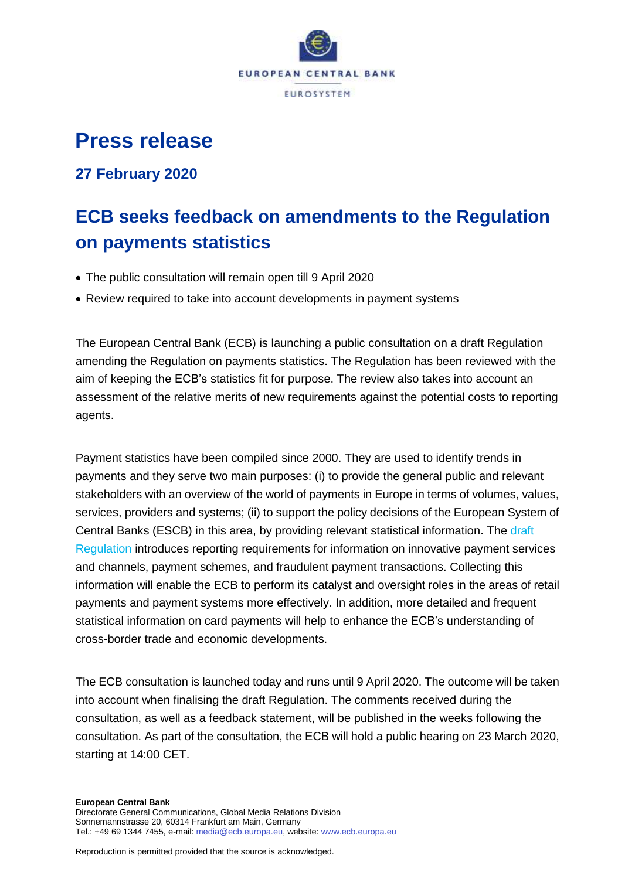

# **Press release**

### **27 February 2020**

# **ECB seeks feedback on amendments to the Regulation on payments statistics**

- The public consultation will remain open till 9 April 2020
- Review required to take into account developments in payment systems

The European Central Bank (ECB) is launching a public consultation on a draft Regulation amending the Regulation on payments statistics. The Regulation has been reviewed with the aim of keeping the ECB's statistics fit for purpose. The review also takes into account an assessment of the relative merits of new requirements against the potential costs to reporting agents.

Payment statistics have been compiled since 2000. They are used to identify trends in payments and they serve two main purposes: (i) to provide the general public and relevant stakeholders with an overview of the world of payments in Europe in terms of volumes, values, services, providers and systems; (ii) to support the policy decisions of the European System of Central Banks (ESCB) in this area, by providing relevant statistical information. The [draft](https://www.ecb.europa.eu/stats/ecb_statistics/governance_and_quality_framework/consultations/shared/files/paym_stats/pc_paym_stats_reg_and_annexes202027.en.pdf)  [Regulation](https://www.ecb.europa.eu/stats/ecb_statistics/governance_and_quality_framework/consultations/shared/files/paym_stats/pc_paym_stats_reg_and_annexes202027.en.pdf) introduces reporting requirements for information on innovative payment services and channels, payment schemes, and fraudulent payment transactions. Collecting this information will enable the ECB to perform its catalyst and oversight roles in the areas of retail payments and payment systems more effectively. In addition, more detailed and frequent statistical information on card payments will help to enhance the ECB's understanding of cross-border trade and economic developments.

The ECB consultation is launched today and runs until 9 April 2020. The outcome will be taken into account when finalising the draft Regulation. The comments received during the consultation, as well as a feedback statement, will be published in the weeks following the consultation. As part of the consultation, the ECB will hold a public hearing on 23 March 2020, starting at 14:00 CET.